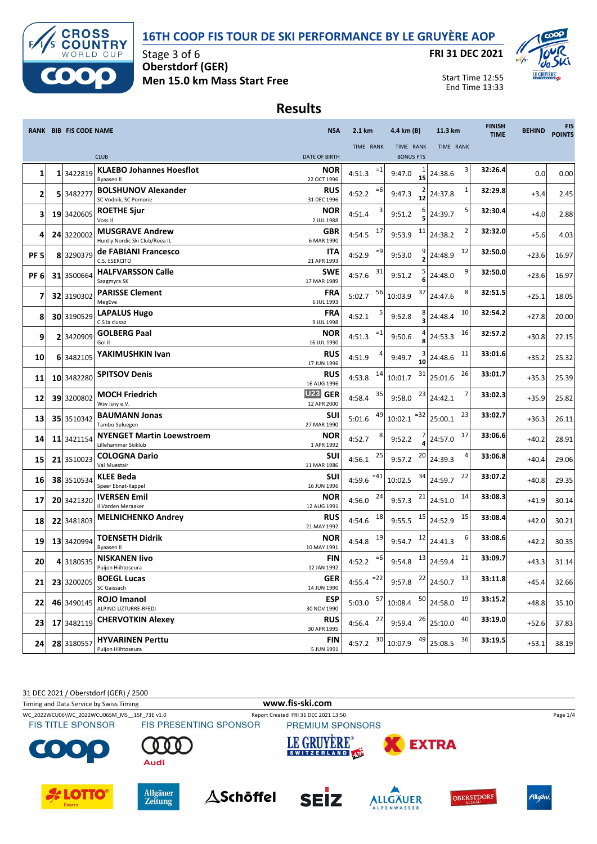

#### **16TH COOP FIS TOUR DE SKI PERFORMANCE BY LE GRUYÈRE AOP**

**FRI 31 DEC 2021**



Start Time 12:55 End Time 13:33

### **Results**

|                         |    | RANK BIB FIS CODE NAME |                                                          | <b>NSA</b>                    | 2.1 km          | 4.4 km (B)        | 11.3 km                                          | <b>FINISH</b><br><b>TIME</b> | <b>BEHIND</b> | <b>FIS</b><br><b>POINTS</b> |
|-------------------------|----|------------------------|----------------------------------------------------------|-------------------------------|-----------------|-------------------|--------------------------------------------------|------------------------------|---------------|-----------------------------|
|                         |    |                        |                                                          |                               | TIME RANK       | TIME RANK         | TIME RANK                                        |                              |               |                             |
|                         |    |                        | <b>CLUB</b>                                              | <b>DATE OF BIRTH</b>          |                 | <b>BONUS PTS</b>  |                                                  |                              |               |                             |
| 1                       |    | 1 3422819              | <b>KLAEBO Johannes Hoesflot</b><br><b>Byaasen II</b>     | <b>NOR</b><br>22 OCT 1996     | $=1$<br>4:51.3  | 9:47.0<br>15      | 3<br>24:38.6                                     | 32:26.4                      | 0.0           | 0.00                        |
| $\overline{\mathbf{c}}$ | 5  | 348227                 | <b>BOLSHUNOV Alexander</b><br>SC Vodnik, SC Pomorie      | <b>RUS</b><br>31 DEC 1996     | $=6$<br>4:52.2  | 9:47.3<br>12      | 1<br>24:37.8                                     | 32:29.8                      | $+3.4$        | 2.45                        |
| 3                       |    | 19 3420605             | <b>ROETHE Sjur</b><br>Voss II                            | <b>NOR</b><br>2 JUL 1988      | 4:51.4          | 6<br>9:51.2       | 5<br>24:39.7                                     | 32:30.4                      | $+4.0$        | 2.88                        |
| 4                       |    | 24 3220002             | <b>MUSGRAVE Andrew</b><br>Huntly Nordic Ski Club/Roea IL | GBR<br>6 MAR 1990             | 17<br>4:54.5    | 11<br>9:53.9      | 24:38.2                                          | 32:32.0                      | $+5.6$        | 4.03                        |
| PF <sub>5</sub>         |    | 8 3290379              | de FABIANI Francesco<br>C.S. ESERCITO                    | ITA<br>21 APR 1993            | $=9$<br>4:52.9  | 9:53.0            | 12<br>24:48.9                                    | 32:50.0                      | $+23.6$       | 16.97                       |
| PF <sub>6</sub>         |    | 31 3500664             | <b>HALFVARSSON Calle</b><br>Saagmyra SK                  | <b>SWE</b><br>17 MAR 1989     | 31<br>4:57.6    | 9:51.2<br>6       | 9<br>24:48.0                                     | 32:50.0                      | $+23.6$       | 16.97                       |
| 7                       |    | 32 3190302             | <b>PARISSE Clement</b><br>MegEve                         | <b>FRA</b><br>6 JUL 1993      | 56<br>5:02.7    | 37<br>10:03.9     | 8<br>24:47.6                                     | 32:51.5                      | $+25.1$       | 18.05                       |
| 8                       |    | 30 3190529             | <b>LAPALUS Hugo</b><br>C.S la clusaz                     | <b>FRA</b><br>9 JUL 1998      | 4:52.1          | 9:52.8            | 10<br>24:48.4                                    | 32:54.2                      | $+27.8$       | 20.00                       |
| 9                       |    | 2 3420909              | <b>GOLBERG Paal</b><br>Gol II                            | <b>NOR</b><br>16 JUL 1990     | $=1$<br>4:51.3  | 9:50.6<br>8       | 16<br>24:53.3                                    | 32:57.2                      | $+30.8$       | 22.15                       |
| 10                      |    | 6 3482105              | YAKIMUSHKIN Ivan                                         | <b>RUS</b><br>17 JUN 1996     | 4:51.9          | 3<br>9:49.7<br>10 | 11<br>24:48.6                                    | 33:01.6                      | $+35.2$       | 25.32                       |
| 11                      |    | 10 3482280             | <b>SPITSOV Denis</b>                                     | <b>RUS</b><br>16 AUG 1996     | 14<br>4:53.8    | 31<br>10:01.7     | 26<br>25:01.6                                    | 33:01.7                      | $+35.3$       | 25.39                       |
| 12                      |    | 39 3200802             | <b>MOCH Friedrich</b><br>Wsv Isny e.V.                   | <b>U23 GER</b><br>12 APR 2000 | 35<br>4:58.4    | 23<br>9:58.0      | 7<br>24:42.1                                     | 33:02.3                      | $+35.9$       | 25.82                       |
| 13                      |    | 35 3510342             | <b>BAUMANN Jonas</b><br>Tambo Spluegen                   | <b>SUI</b><br>27 MAR 1990     | 49<br>5:01.6    | $= 32$<br>10:02.1 | 23<br>25:00.1                                    | 33:02.7                      | $+36.3$       | 26.11                       |
| 14                      | 11 | 3421154                | <b>NYENGET Martin Loewstroem</b><br>Lillehammer Skiklub  | <b>NOR</b><br>1 APR 1992      | 4:52.7          | 9:52.2            | 17<br>24:57.0                                    | 33:06.6                      | $+40.2$       | 28.91                       |
| 15                      |    | 21 3510023             | <b>COLOGNA Dario</b><br>Val Muestair                     | SUI<br>11 MAR 1986            | 25<br>4:56.1    | 20<br>9:57.2      | 24:39.3                                          | 33:06.8                      | $+40.4$       | 29.06                       |
| 16                      |    | 38 3510534             | <b>KLEE Beda</b><br>Speer Ebnat-Kappel                   | <b>SUI</b><br>16 JUN 1996     | $=41$<br>4:59.6 | 34<br>10:02.5     | 22<br>24:59.7                                    | 33:07.2                      | $+40.8$       | 29.35                       |
| 17                      |    | 20 3421320             | <b>IVERSEN Emil</b><br>Il Varden Meraaker                | <b>NOR</b><br>12 AUG 1991     | 24<br>4:56.0    | 21<br>9:57.3      | 14<br>24:51.0                                    | 33:08.3                      | $+41.9$       | 30.14                       |
| 18                      |    | 22 3481803             | <b>MELNICHENKO Andrey</b>                                | <b>RUS</b><br>21 MAY 1992     | 18<br>4:54.6    | 15<br>9:55.5      | 15<br>24:52.9                                    | 33:08.4                      | $+42.0$       | 30.21                       |
| 19                      |    | 13 3420994             | <b>TOENSETH Didrik</b><br><b>Byaasen II</b>              | <b>NOR</b><br>10 MAY 1991     | 19<br>4:54.8    | 12<br>9:54.7      | 6<br>24:41.3                                     | 33:08.6                      | $+42.2$       | 30.35                       |
| 20                      |    | 4 3180535              | <b>NISKANEN livo</b><br>Puijon Hiihtoseura               | FIN<br>12 JAN 1992            | $=6$<br>4:52.2  | 13<br>9:54.8      | 21<br>24:59.4                                    | 33:09.7                      | $+43.3$       | 31.14                       |
| 21                      |    | 23 3200205             | <b>BOEGL Lucas</b><br>SC Gaissach                        | <b>GER</b><br>14 JUN 1990     | 4:55.4 $^{-22}$ | 9:57.8            | $\frac{22}{24:50.7}$<br>13                       | 33:11.8                      | $+45.4$       | 32.66                       |
| 22                      |    | 46 3490145             | ROJO Imanol<br>ALPINO UZTURRE-RFEDI                      | <b>ESP</b><br>30 NOV 1990     | $5:03.0$ $57$   | 10:08.4           | $\begin{array}{ c} 50 \end{array}$ 24:58.0<br>19 | 33:15.2                      | $+48.8$       | 35.10                       |
| 23                      |    | 17 3482119             | <b>CHERVOTKIN Alexey</b>                                 | <b>RUS</b><br>30 APR 1995     | 27<br>4:56.4    | 9:59.4            | $26$ 25:10.0<br>40                               | 33:19.0                      | $+52.6$       | 37.83                       |
| 24                      |    | 28 3180557             | <b>HYVARINEN Perttu</b><br>Puijon Hiihtoseura            | FIN<br>5 JUN 1991             | 30<br>4:57.2    | 49<br>10:07.9     | 36<br>25:08.5                                    | 33:19.5                      | $+53.1$       | 38.19                       |

31 DEC 2021 / Oberstdorf (GER) / 2500

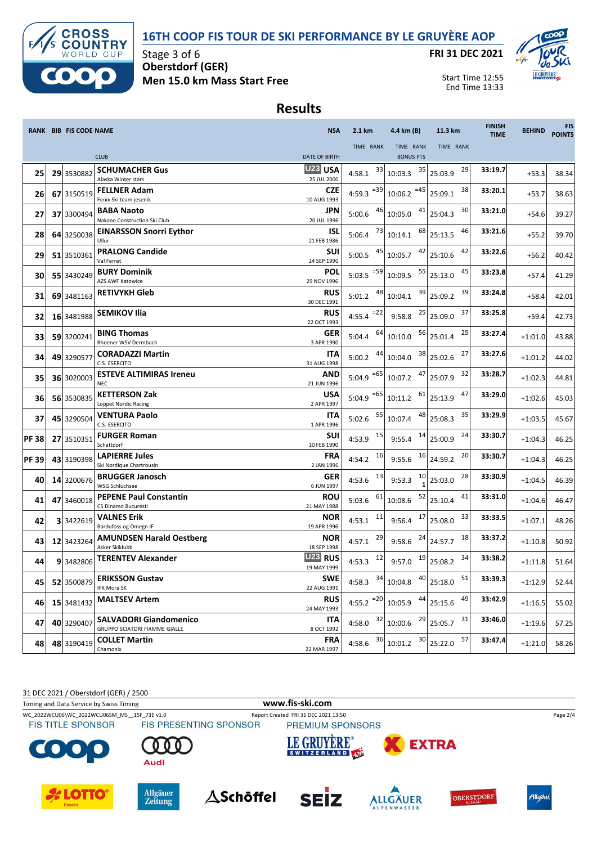



Stage 3 of 6 **Oberstdorf (GER) Men 15.0 km Mass Start Free** **FRI 31 DEC 2021**



Start Time 12:55 End Time 13:33

### **Results**

|             |    | RANK BIB FIS CODE NAME |                                                                       | <b>NSA</b>                | 2.1 km           | 4.4 km (B)                                                         | 11.3 km            | <b>FINISH</b><br><b>TIME</b> | <b>BEHIND</b> | <b>FIS</b><br><b>POINTS</b> |
|-------------|----|------------------------|-----------------------------------------------------------------------|---------------------------|------------------|--------------------------------------------------------------------|--------------------|------------------------------|---------------|-----------------------------|
|             |    |                        |                                                                       |                           | TIME RANK        | TIME RANK                                                          | TIME RANK          |                              |               |                             |
|             |    |                        | <b>CLUB</b>                                                           | <b>DATE OF BIRTH</b>      |                  | <b>BONUS PTS</b>                                                   |                    |                              |               |                             |
| 25          |    | 29 3530882             | <b>SCHUMACHER Gus</b><br>Alaska Winter stars                          | U23 USA<br>25 JUL 2000    | 33<br>4:58.1     | 35<br>10:03.3                                                      | 29<br>25:03.9      | 33:19.7                      | $+53.3$       | 38.34                       |
| 26          |    | 67 3150519             | <b>FELLNER Adam</b><br>Fenix Ski team jesenik                         | <b>CZE</b><br>10 AUG 1993 | 4:59.3 $=39$     | $=45$<br>10:06.2                                                   | 38<br>25:09.1      | 33:20.1                      | $+53.7$       | 38.63                       |
| 27          |    | 37 3300494             | <b>BABA Naoto</b><br>Nakano Construction Ski Club                     | JPN<br>20 JUL 1996        | 46<br>5:00.6     | 41<br>10:05.0                                                      | 30<br>25:04.3      | 33:21.0                      | $+54.6$       | 39.27                       |
| 28          |    | 64 3250038             | <b>EINARSSON Snorri Eythor</b><br>Ullur                               | <b>ISL</b><br>21 FEB 1986 | 73<br>5:06.4     | 68<br>10:14.1                                                      | 46<br>25:13.5      | 33:21.6                      | $+55.2$       | 39.70                       |
| 29          |    | 51 3510361             | <b>PRALONG Candide</b><br>Val Ferret                                  | SUI<br>24 SEP 1990        | 45<br>5:00.5     | 42<br>10:05.7                                                      | 42<br>25:10.6      | 33:22.6                      | $+56.2$       | 40.42                       |
| 30          |    | 55 3430249             | <b>BURY Dominik</b><br>AZS AWF Katowice                               | <b>POL</b><br>29 NOV 1996 | $= 59$<br>5:03.5 | 55<br>10:09.5                                                      | 45<br>25:13.0      | 33:23.8                      | $+57.4$       | 41.29                       |
| 31          |    | 69 3481163             | <b>RETIVYKH Gleb</b>                                                  | <b>RUS</b><br>30 DEC 1991 | 48<br>5:01.2     | 39<br>10:04.1                                                      | 39<br>25:09.2      | 33:24.8                      | $+58.4$       | 42.01                       |
| 32          |    | 16 3481988             | <b>SEMIKOV Ilia</b>                                                   | <b>RUS</b><br>22 OCT 1993 | 4:55.4 $^{-22}$  | 25<br>9:58.8                                                       | 37<br>25:09.0      | 33:25.8                      | $+59.4$       | 42.73                       |
| 33          |    | 59 3200241             | <b>BING Thomas</b><br>Rhoener WSV Dermbach                            | <b>GER</b><br>3 APR 1990  | 64<br>5:04.4     | 56<br>10:10.0                                                      | 25<br>25:01.4      | 33:27.4                      | $+1:01.0$     | 43.88                       |
| 34          |    | 49 3290577             | <b>CORADAZZI Martin</b><br>C.S. ESERCITO                              | ITA<br>31 AUG 1998        | 44<br>5:00.2     | 38<br>10:04.0                                                      | 27<br>25:02.6      | 33:27.6                      | $+1:01.2$     | 44.02                       |
| 35          |    | 36 3020003             | <b>ESTEVE ALTIMIRAS Ireneu</b><br><b>NEC</b>                          | <b>AND</b><br>21 JUN 1996 | $=65$<br>5:04.9  | 47<br>10:07.2                                                      | 32<br>25:07.9      | 33:28.7                      | $+1:02.3$     | 44.81                       |
| 36          |    | 56 3530835             | <b>KETTERSON Zak</b><br>Loppet Nordic Racing                          | <b>USA</b><br>2 APR 1997  | 5:04.9 $=65$     | 61<br>10:11.2                                                      | 47<br>25:13.9      | 33:29.0                      | $+1:02.6$     | 45.03                       |
| 37          |    | 45 3290504             | <b>VENTURA Paolo</b><br>C.S. ESERCITO                                 | ITA<br>1 APR 1996         | 55<br>5:02.6     | 48<br>10:07.4                                                      | 35<br>25:08.3      | 33:29.9                      | $+1:03.5$     | 45.67                       |
| <b>PF38</b> | 27 | 3510351                | <b>FURGER Roman</b><br>Schattdorf                                     | <b>SUI</b><br>10 FEB 1990 | 15<br>4:53.9     | 14<br>9:55.4                                                       | 24<br>25:00.9      | 33:30.7                      | $+1:04.3$     | 46.25                       |
| <b>PF39</b> |    | 43 3190398             | <b>LAPIERRE Jules</b><br>Ski Nordique Chartrousin                     | <b>FRA</b><br>2 JAN 1996  | 16<br>4:54.2     | 16<br>9:55.6                                                       | 20<br>24:59.2      | 33:30.7                      | $+1:04.3$     | 46.25                       |
| 40          |    | 14 3200676             | <b>BRUGGER Janosch</b><br><b>WSG Schluchsee</b>                       | <b>GER</b><br>6 JUN 1997  | 13<br>4:53.6     | 10<br>9:53.3                                                       | 28<br>25:03.0      | 33:30.9                      | $+1:04.5$     | 46.39                       |
| 41          |    | 47 3460018             | <b>PEPENE Paul Constantin</b><br>CS Dinamo Bucuresti                  | <b>ROU</b><br>21 MAY 1988 | 61<br>5:03.6     | 52<br>10:08.6                                                      | 41<br>25:10.4      | 33:31.0                      | $+1:04.6$     | 46.47                       |
| 42          |    | 33422619               | VALNES Erik<br>Bardufoss og Omegn IF                                  | <b>NOR</b><br>19 APR 1996 | 11<br>4:53.1     | 17<br>9:56.4                                                       | 33<br>25:08.0      | 33:33.5                      | $+1:07.1$     | 48.26                       |
| 43          |    | 12 3423264             | <b>AMUNDSEN Harald Oestberg</b><br>Asker Skiklubb                     | <b>NOR</b><br>18 SEP 1998 | 29<br>4:57.1     | 24<br>9:58.6                                                       | 18<br>24:57.7      | 33:37.2                      | $+1:10.8$     | 50.92                       |
| 44          |    | 9 3482806              | <b>TERENTEV Alexander</b>                                             | U23 RUS<br>19 MAY 1999    | 12<br>4:53.3     | 19<br>9:57.0                                                       | 34<br>25:08.2      | 33:38.2                      | $+1:11.8$     | 51.64                       |
| 45          |    | 52 3500879             | <b>ERIKSSON Gustav</b><br>IFK Mora SK                                 | <b>SWE</b><br>22 AUG 1991 |                  | 4:58.3 $34 \begin{bmatrix} 34 \\ 10:04.8 \end{bmatrix}$ 40 25:18.0 | 51                 | 33:39.3                      | $+1:12.9$     | 52.44                       |
| 46          |    | 15 3481432             | <b>MALTSEV Artem</b>                                                  | <b>RUS</b><br>24 MAY 1993 | 4:55.2 $=20$     | 44<br>10:05.9                                                      | 49<br>25:15.6      | 33:42.9                      | $+1:16.5$     | 55.02                       |
| 47          |    | 40 3290407             | <b>SALVADORI Giandomenico</b><br><b>GRUPPO SCIATORI FIAMME GIALLE</b> | ITA<br>8 OCT 1992         | $4:58.0$ $32$    | 10:00.6                                                            | $29$ 25:05.7<br>31 | 33:46.0                      | $+1:19.6$     | 57.25                       |
| 48          |    | 48 3190419             | <b>COLLET Martin</b><br>Chamonix                                      | <b>FRA</b><br>22 MAR 1997 | 36<br>4:58.6     | 30<br>10:01.2                                                      | 57<br>25:22.0      | 33:47.4                      | $+1:21.0$     | 58.26                       |

31 DEC 2021 / Oberstdorf (GER) / 2500

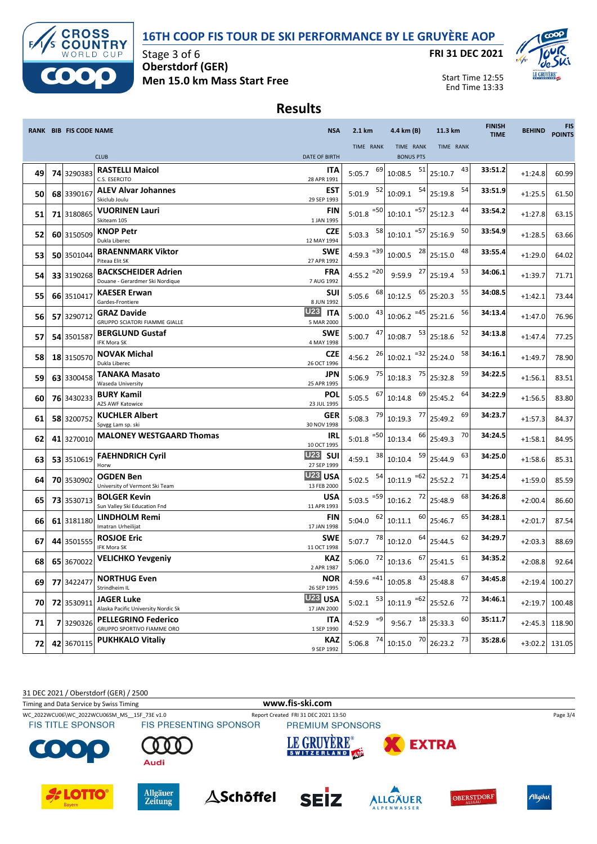



Stage 3 of 6 **Oberstdorf (GER) Men 15.0 km Mass Start Free** **FRI 31 DEC 2021**



Start Time 12:55 End Time 13:33

#### **Results**

|    | <b>RANK BIB FIS CODE NAME</b> |                                                               | <b>NSA</b>                                  | 2.1 km                  | 4.4 km (B)                              | 11.3 km       | <b>FINISH</b><br><b>TIME</b> | <b>BEHIND</b> | <b>FIS</b><br><b>POINTS</b> |
|----|-------------------------------|---------------------------------------------------------------|---------------------------------------------|-------------------------|-----------------------------------------|---------------|------------------------------|---------------|-----------------------------|
|    |                               |                                                               |                                             | TIME RANK               | TIME RANK                               | TIME RANK     |                              |               |                             |
|    |                               | <b>CLUB</b>                                                   | <b>DATE OF BIRTH</b>                        |                         | <b>BONUS PTS</b>                        |               |                              |               |                             |
| 49 | 74 3290383                    | <b>RASTELLI Maicol</b><br>C.S. ESERCITO                       | ITA<br>28 APR 1991                          | 69<br>5:05.7            | 51<br>10:08.5                           | 43<br>25:10.7 | 33:51.2                      | $+1:24.8$     | 60.99                       |
| 50 | 68 3390167                    | <b>ALEV Alvar Johannes</b><br>Skiclub Joulu                   | <b>EST</b><br>29 SEP 1993                   | 52<br>5:01.9            | 54<br>10:09.1                           | 54<br>25:19.8 | 33:51.9                      | $+1:25.5$     | 61.50                       |
| 51 | 71 3180865                    | <b>VUORINEN Lauri</b><br>Skiteam 105                          | FIN<br>1 JAN 1995                           | $=50$<br>5:01.8         | $= 57$<br>10:10.1                       | 44<br>25:12.3 | 33:54.2                      | $+1:27.8$     | 63.15                       |
| 52 | 60 3150509                    | <b>KNOP Petr</b><br>Dukla Liberec                             | <b>CZE</b><br>12 MAY 1994                   | 58<br>5:03.3            | $= 57$<br>10:10.1                       | 50<br>25:16.9 | 33:54.9                      | $+1:28.5$     | 63.66                       |
| 53 | 50 3501044                    | <b>BRAENNMARK Viktor</b><br>Piteaa Elit SK                    | <b>SWE</b><br>27 APR 1992                   | 4:59.3 $^{-39}$         | 28<br>10:00.5                           | 48<br>25:15.0 | 33:55.4                      | $+1:29.0$     | 64.02                       |
| 54 | 33 3190268                    | <b>BACKSCHEIDER Adrien</b><br>Douane - Gerardmer Ski Nordique | <b>FRA</b><br>7 AUG 1992                    | $=20$<br>4:55.2         | 27<br>9:59.9                            | 53<br>25:19.4 | 34:06.1                      | $+1:39.7$     | 71.71                       |
| 55 | 66 3510417                    | <b>KAESER Erwan</b><br>Gardes-Frontiere                       | <b>SUI</b><br>8 JUN 1992                    | 68<br>5:05.6            | 65<br>10:12.5                           | 55<br>25:20.3 | 34:08.5                      | $+1:42.1$     | 73.44                       |
| 56 | 57 3290712                    | <b>GRAZ Davide</b><br><b>GRUPPO SCIATORI FIAMME GIALLE</b>    | U <sub>23</sub><br><b>ITA</b><br>5 MAR 2000 | 43<br>5:00.0            | $10:06.2$ <sup>=45</sup>                | 56<br>25:21.6 | 34:13.4                      | $+1:47.0$     | 76.96                       |
| 57 | 54 3501587                    | <b>BERGLUND Gustaf</b><br>IFK Mora SK                         | <b>SWE</b><br>4 MAY 1998                    | 47<br>5:00.7            | 53<br>10:08.7                           | 52<br>25:18.6 | 34:13.8                      | $+1:47.4$     | 77.25                       |
| 58 | 18 3150570                    | <b>NOVAK Michal</b><br>Dukla Liberec                          | <b>CZE</b><br>26 OCT 1996                   | 26<br>4:56.2            | $10:02.1$ <sup>=32</sup>                | 58<br>25:24.0 | 34:16.1                      | $+1:49.7$     | 78.90                       |
| 59 | 63 3300458                    | TANAKA Masato<br>Waseda University                            | JPN<br>25 APR 1995                          | 75<br>5:06.9            | 75<br>10:18.3                           | 59<br>25:32.8 | 34:22.5                      | $+1:56.1$     | 83.51                       |
| 60 | 76 3430233                    | <b>BURY Kamil</b><br><b>AZS AWF Katowice</b>                  | POL<br>23 JUL 1995                          | 67<br>5:05.5            | 69<br>10:14.8                           | 64<br>25:45.2 | 34:22.9                      | $+1:56.5$     | 83.80                       |
| 61 | 58 3200752                    | <b>KUCHLER Albert</b><br>Spvgg Lam sp. ski                    | GER<br>30 NOV 1998                          | 79<br>5:08.3            | 77<br>10:19.3                           | 69<br>25:49.2 | 34:23.7                      | $+1:57.3$     | 84.37                       |
| 62 | 41 3270010                    | <b>MALONEY WESTGAARD Thomas</b>                               | IRL<br>10 OCT 1995                          | $5:01.8$ <sup>=50</sup> | 66<br>10:13.4                           | 70<br>25:49.3 | 34:24.5                      | $+1:58.1$     | 84.95                       |
| 63 | 53 3510619                    | <b>FAEHNDRICH Cyril</b><br>Horw                               | <b>U23</b><br><b>SUI</b><br>27 SEP 1999     | 38<br>4:59.1            | 59<br>10:10.4                           | 63<br>25:44.9 | 34:25.0                      | $+1:58.6$     | 85.31                       |
| 64 | 70 3530902                    | <b>OGDEN Ben</b><br>University of Vermont Ski Team            | U <sub>23</sub> USA<br>13 FEB 2000          | 54<br>5:02.5            | $=62$<br>10:11.9                        | 71<br>25:52.2 | 34:25.4                      | $+1:59.0$     | 85.59                       |
| 65 | 73 3530713                    | <b>BOLGER Kevin</b><br>Sun Valley Ski Education Fnd           | <b>USA</b><br>11 APR 1993                   | 5:03.5 $=59$            | 72<br>10:16.2                           | 68<br>25:48.9 | 34:26.8                      | $+2:00.4$     | 86.60                       |
| 66 | 61 3181180                    | <b>LINDHOLM Remi</b><br>Imatran Urheilijat                    | FIN<br>17 JAN 1998                          | 62<br>5:04.0            | 60<br>10:11.1                           | 65<br>25:46.7 | 34:28.1                      | $+2:01.7$     | 87.54                       |
| 67 | 44 3501555                    | <b>ROSJOE Eric</b><br>IFK Mora SK                             | <b>SWE</b><br>11 OCT 1998                   | 78<br>5:07.7            | 64<br>10:12.0                           | 62<br>25:44.5 | 34:29.7                      | $+2:03.3$     | 88.69                       |
| 68 | 65 3670022                    | <b>VELICHKO Yevgeniy</b>                                      | <b>KAZ</b><br>2 APR 1987                    | 72<br>5:06.0            | 67<br>10:13.6                           | 61<br>25:41.5 | 34:35.2                      | $+2:08.8$     | 92.64                       |
| 69 | 77 3422477                    | <b>NORTHUG Even</b><br>Strindheim IL                          | <b>NOR</b><br>26 SEP 1995                   |                         | 4:59.6 $^{-41}$ 10:05.8 $^{43}$ 25:48.8 | 67            | 34:45.8                      | $+2:19.4$     | 100.27                      |
| 70 | 72 3530911                    | JAGER Luke<br>Alaska Pacific University Nordic Sk             | <b>U23 USA</b><br>17 JAN 2000               | 53<br>5:02.1            | $10:11.9$ <sup>=62</sup> 25:52.6        | 72            | 34:46.1                      | $+2:19.7$     | 100.48                      |
| 71 | 7 3290326                     | <b>PELLEGRINO Federico</b><br>GRUPPO SPORTIVO FIAMME ORO      | ITA<br>1 SEP 1990                           | $=9$<br>4:52.9          | 9:56.7 $18$ 25:33.3                     | 60            | 35:11.7                      | $+2:45.3$     | 118.90                      |
| 72 | 42 3670115                    | <b>PUKHKALO Vitaliy</b>                                       | <b>KAZ</b><br>9 SEP 1992                    | 74<br>5:06.8            | 70<br>10:15.0                           | 73<br>26:23.2 | 35:28.6                      | $+3:02.2$     | 131.05                      |

31 DEC 2021 / Oberstdorf (GER) / 2500